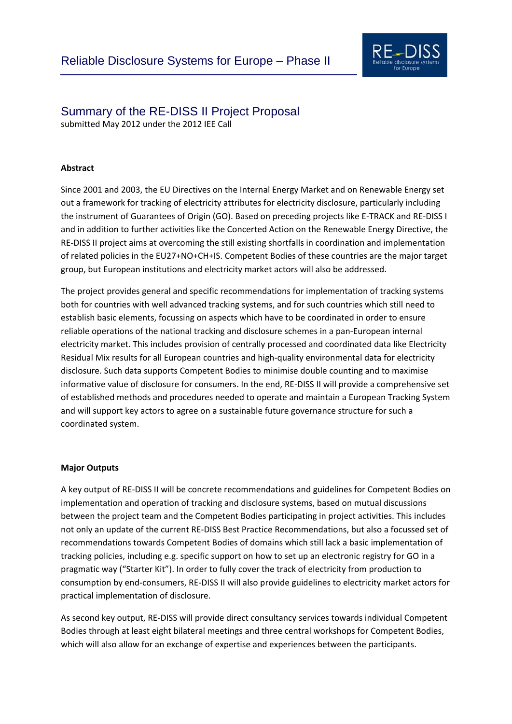

# Summary of the RE-DISS II Project Proposal

submitted May 2012 under the 2012 IEE Call

### **Abstract**

Since 2001 and 2003, the EU Directives on the Internal Energy Market and on Renewable Energy set out a framework for tracking of electricity attributes for electricity disclosure, particularly including the instrument of Guarantees of Origin (GO). Based on preceding projects like E‐TRACK and RE‐DISS I and in addition to further activities like the Concerted Action on the Renewable Energy Directive, the RE‐DISS II project aims at overcoming the still existing shortfalls in coordination and implementation of related policies in the EU27+NO+CH+IS. Competent Bodies of these countries are the major target group, but European institutions and electricity market actors will also be addressed.

The project provides general and specific recommendations for implementation of tracking systems both for countries with well advanced tracking systems, and for such countries which still need to establish basic elements, focussing on aspects which have to be coordinated in order to ensure reliable operations of the national tracking and disclosure schemes in a pan‐European internal electricity market. This includes provision of centrally processed and coordinated data like Electricity Residual Mix results for all European countries and high-quality environmental data for electricity disclosure. Such data supports Competent Bodies to minimise double counting and to maximise informative value of disclosure for consumers. In the end, RE‐DISS II will provide a comprehensive set of established methods and procedures needed to operate and maintain a European Tracking System and will support key actors to agree on a sustainable future governance structure for such a coordinated system.

#### **Major Outputs**

A key output of RE‐DISS II will be concrete recommendations and guidelines for Competent Bodies on implementation and operation of tracking and disclosure systems, based on mutual discussions between the project team and the Competent Bodies participating in project activities. This includes not only an update of the current RE‐DISS Best Practice Recommendations, but also a focussed set of recommendations towards Competent Bodies of domains which still lack a basic implementation of tracking policies, including e.g. specific support on how to set up an electronic registry for GO in a pragmatic way ("Starter Kit"). In order to fully cover the track of electricity from production to consumption by end‐consumers, RE‐DISS II will also provide guidelines to electricity market actors for practical implementation of disclosure.

As second key output, RE‐DISS will provide direct consultancy services towards individual Competent Bodies through at least eight bilateral meetings and three central workshops for Competent Bodies, which will also allow for an exchange of expertise and experiences between the participants.